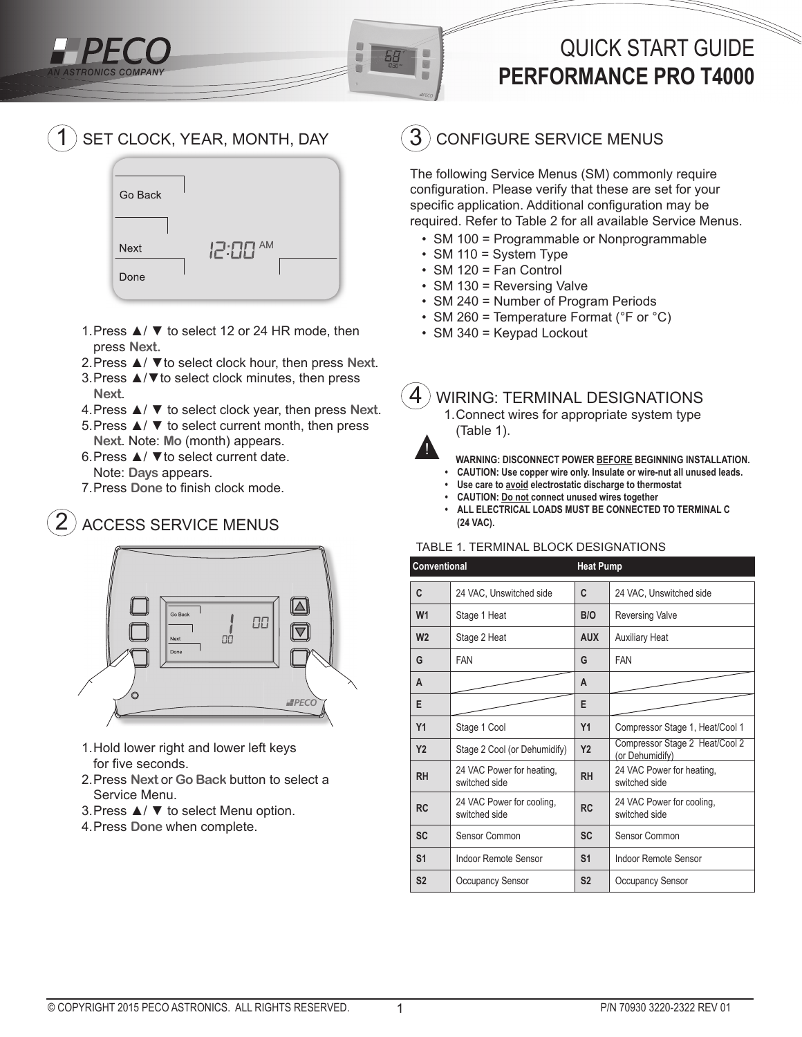# QUICK START GUIDE **PERFORMANCE PRO T4000**

#### SET CLOCK, YEAR, MONTH, DAY 1



- 1. Press ▲/ ▼ to select 12 or 24 HR mode, then press **Next.**
- 2. Press ▲/ ▼to select clock hour, then press **Next**.
- 3. Press ▲/▼to select clock minutes, then press **Next**.
- 4. Press ▲/ ▼ to select clock year, then press **Next**.
- 5. Press ▲/ ▼ to select current month, then press
- **Next**. Note: **Mo** (month) appears. 6. Press ▲/ ▼to select current date.
- Note: **Days** appears.
- 7. Press Done to finish clock mode.

### ACCESS SERVICE MENUS 2



- 1. Hold lower right and lower left keys for five seconds.
- 2. Press **Next** or **Go Back** button to select a Service Menu.
- 3. Press ▲/ ▼ to select Menu option.
- 4. Press **Done** when complete.

#### CONFIGURE SERVICE MENUS 3

The following Service Menus (SM) commonly require configuration. Please verify that these are set for your specific application. Additional configuration may be required. Refer to Table 2 for all available Service Menus.

- SM 100 = Programmable or Nonprogrammable
- SM 110 = System Type
- SM 120 = Fan Control
- SM 130 = Reversing Valve
- SM 240 = Number of Program Periods
- SM 260 = Temperature Format (°F or °C)
- SM 340 = Keypad Lockout

#### WIRING: TERMINAL DESIGNATIONS 4

1. Connect wires for appropriate system type (Table 1).



画

₿

- **WARNING: DISCONNECT POWER BEFORE BEGINNING INSTALLATION.**
- **CAUTION: Use copper wire only. Insulate or wire-nut all unused leads.**
- **Use care to avoid electrostatic discharge to thermostat**
- **CAUTION: Do not connect unused wires together**
- **ALL ELECTRICAL LOADS MUST BE CONNECTED TO TERMINAL C (24 VAC).**

# TABLE 1. TERMINAL BLOCK DESIGNATIONS

| Conventional   |                                            | <b>Heat Pump</b> |                                                   |
|----------------|--------------------------------------------|------------------|---------------------------------------------------|
| C              | 24 VAC, Unswitched side                    | C                | 24 VAC, Unswitched side                           |
| W <sub>1</sub> | Stage 1 Heat                               | B/O              | <b>Reversing Valve</b>                            |
| W <sub>2</sub> | Stage 2 Heat                               | <b>AUX</b>       | <b>Auxiliary Heat</b>                             |
| G              | <b>FAN</b>                                 | G                | <b>FAN</b>                                        |
| A              |                                            | A                |                                                   |
| E              |                                            | E                |                                                   |
| Y1             | Stage 1 Cool                               | Y1               | Compressor Stage 1, Heat/Cool 1                   |
| <b>Y2</b>      | Stage 2 Cool (or Dehumidify)               | <b>Y2</b>        | Compressor Stage 2 Heat/Cool 2<br>(or Dehumidify) |
| <b>RH</b>      | 24 VAC Power for heating,<br>switched side | <b>RH</b>        | 24 VAC Power for heating,<br>switched side        |
| <b>RC</b>      | 24 VAC Power for cooling,<br>switched side | <b>RC</b>        | 24 VAC Power for cooling,<br>switched side        |
| <b>SC</b>      | Sensor Common                              | <b>SC</b>        | Sensor Common                                     |
| S <sub>1</sub> | Indoor Remote Sensor                       | S <sub>1</sub>   | Indoor Remote Sensor                              |
| S <sub>2</sub> | <b>Occupancy Sensor</b>                    | S <sub>2</sub>   | <b>Occupancy Sensor</b>                           |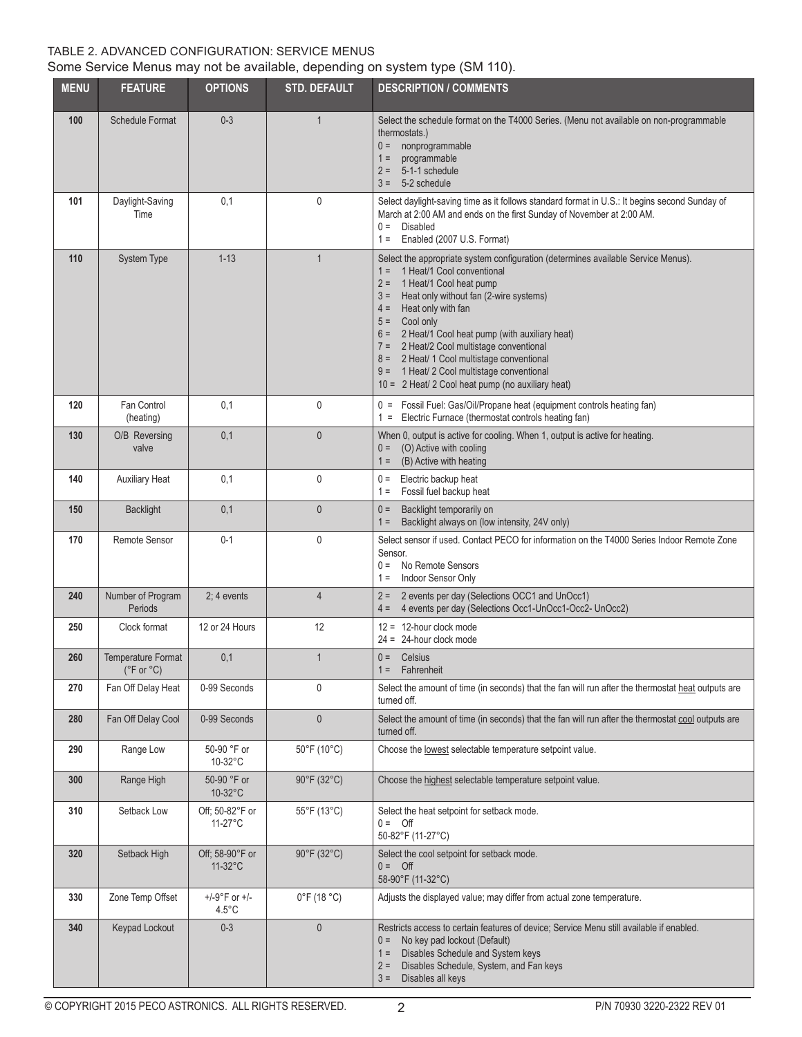# TABLE 2. ADVANCED CONFIGURATION: SERVICE MENUS Some Service Menus may not be available, depending on system type (SM 110).

| <b>MENU</b> | <b>FEATURE</b>                          | <b>OPTIONS</b>                               | <b>STD. DEFAULT</b>              | <b>DESCRIPTION / COMMENTS</b>                                                                                                                                                                                                                                                                                                                                                                                                                                                                                             |
|-------------|-----------------------------------------|----------------------------------------------|----------------------------------|---------------------------------------------------------------------------------------------------------------------------------------------------------------------------------------------------------------------------------------------------------------------------------------------------------------------------------------------------------------------------------------------------------------------------------------------------------------------------------------------------------------------------|
| 100         | <b>Schedule Format</b>                  | $0 - 3$                                      | $\mathbf{1}$                     | Select the schedule format on the T4000 Series. (Menu not available on non-programmable<br>thermostats.)<br>nonprogrammable<br>$0 =$<br>programmable<br>$1 =$<br>5-1-1 schedule<br>$2 =$<br>5-2 schedule<br>$3 =$                                                                                                                                                                                                                                                                                                         |
| 101         | Daylight-Saving<br>Time                 | 0,1                                          | 0                                | Select daylight-saving time as it follows standard format in U.S.: It begins second Sunday of<br>March at 2:00 AM and ends on the first Sunday of November at 2:00 AM.<br>$0 =$<br>Disabled<br>Enabled (2007 U.S. Format)<br>$1 =$                                                                                                                                                                                                                                                                                        |
| 110         | <b>System Type</b>                      | $1 - 13$                                     | $\mathbf{1}$                     | Select the appropriate system configuration (determines available Service Menus).<br>1 Heat/1 Cool conventional<br>$1 =$<br>1 Heat/1 Cool heat pump<br>$2 =$<br>Heat only without fan (2-wire systems)<br>$3 =$<br>Heat only with fan<br>$4 =$<br>Cool only<br>$5 =$<br>6 = 2 Heat/1 Cool heat pump (with auxiliary heat)<br>7 = 2 Heat/2 Cool multistage conventional<br>8 = 2 Heat/ 1 Cool multistage conventional<br>9 = 1 Heat/ 2 Cool multistage conventional<br>$10 = 2$ Heat/ 2 Cool heat pump (no auxiliary heat) |
| 120         | Fan Control<br>(heating)                | 0,1                                          | 0                                | 0 = Fossil Fuel: Gas/Oil/Propane heat (equipment controls heating fan)<br>Electric Furnace (thermostat controls heating fan)<br>$1 =$                                                                                                                                                                                                                                                                                                                                                                                     |
| 130         | O/B Reversing<br>valve                  | 0,1                                          | $\mathbf{0}$                     | When 0, output is active for cooling. When 1, output is active for heating.<br>(O) Active with cooling<br>$0 =$<br>(B) Active with heating<br>$1 =$                                                                                                                                                                                                                                                                                                                                                                       |
| 140         | <b>Auxiliary Heat</b>                   | 0,1                                          | $\mathbf 0$                      | Electric backup heat<br>$0 =$<br>Fossil fuel backup heat<br>$1 =$                                                                                                                                                                                                                                                                                                                                                                                                                                                         |
| 150         | <b>Backlight</b>                        | 0,1                                          | $\theta$                         | Backlight temporarily on<br>$0 =$<br>Backlight always on (low intensity, 24V only)<br>$1 =$                                                                                                                                                                                                                                                                                                                                                                                                                               |
| 170         | <b>Remote Sensor</b>                    | $0 - 1$                                      | $\mathbf{0}$                     | Select sensor if used. Contact PECO for information on the T4000 Series Indoor Remote Zone<br>Sensor.<br>No Remote Sensors<br>$0 =$<br>Indoor Sensor Only<br>$1 =$                                                                                                                                                                                                                                                                                                                                                        |
| 240         | Number of Program<br>Periods            | $2:4$ events                                 | 4                                | 2 events per day (Selections OCC1 and UnOcc1)<br>$2 =$<br>4 events per day (Selections Occ1-UnOcc1-Occ2- UnOcc2)<br>$4 =$                                                                                                                                                                                                                                                                                                                                                                                                 |
| 250         | Clock format                            | 12 or 24 Hours                               | 12                               | $12 = 12$ -hour clock mode<br>$24 = 24$ -hour clock mode                                                                                                                                                                                                                                                                                                                                                                                                                                                                  |
| 260         | <b>Temperature Format</b><br>(°F or °C) | 0,1                                          | 1                                | $0 =$ Celsius<br>$1 =$ Fahrenheit                                                                                                                                                                                                                                                                                                                                                                                                                                                                                         |
| 270         | Fan Off Delay Heat                      | 0-99 Seconds                                 | 0                                | Select the amount of time (in seconds) that the fan will run after the thermostat heat outputs are<br>turned off.                                                                                                                                                                                                                                                                                                                                                                                                         |
| 280         | Fan Off Delay Cool                      | 0-99 Seconds                                 | $\mathbf 0$                      | Select the amount of time (in seconds) that the fan will run after the thermostat cool outputs are<br>turned off.                                                                                                                                                                                                                                                                                                                                                                                                         |
| 290         | Range Low                               | 50-90 °F or<br>$10-32$ °C                    | 50°F (10°C)                      | Choose the lowest selectable temperature setpoint value.                                                                                                                                                                                                                                                                                                                                                                                                                                                                  |
| 300         | Range High                              | 50-90 °F or<br>10-32°C                       | $90^{\circ}$ F (32 $^{\circ}$ C) | Choose the highest selectable temperature setpoint value.                                                                                                                                                                                                                                                                                                                                                                                                                                                                 |
| 310         | Setback Low                             | Off; 50-82°F or<br>$11-27$ °C                | 55°F (13°C)                      | Select the heat setpoint for setback mode.<br>$0 = \text{Off}$<br>50-82°F (11-27°C)                                                                                                                                                                                                                                                                                                                                                                                                                                       |
| 320         | Setback High                            | Off; 58-90°F or<br>$11-32$ °C                | 90°F (32°C)                      | Select the cool setpoint for setback mode.<br>$0 = \text{Off}$<br>58-90°F (11-32°C)                                                                                                                                                                                                                                                                                                                                                                                                                                       |
| 330         | Zone Temp Offset                        | $+/-9^{\circ}$ F or $+/-$<br>$4.5^{\circ}$ C | $0^{\circ}$ F (18 $^{\circ}$ C)  | Adjusts the displayed value; may differ from actual zone temperature.                                                                                                                                                                                                                                                                                                                                                                                                                                                     |
| 340         | Keypad Lockout                          | $0 - 3$                                      | $\theta$                         | Restricts access to certain features of device; Service Menu still available if enabled.<br>No key pad lockout (Default)<br>$0 =$<br>Disables Schedule and System keys<br>$1 =$<br>Disables Schedule, System, and Fan keys<br>$2 =$<br>Disables all keys<br>$3 =$                                                                                                                                                                                                                                                         |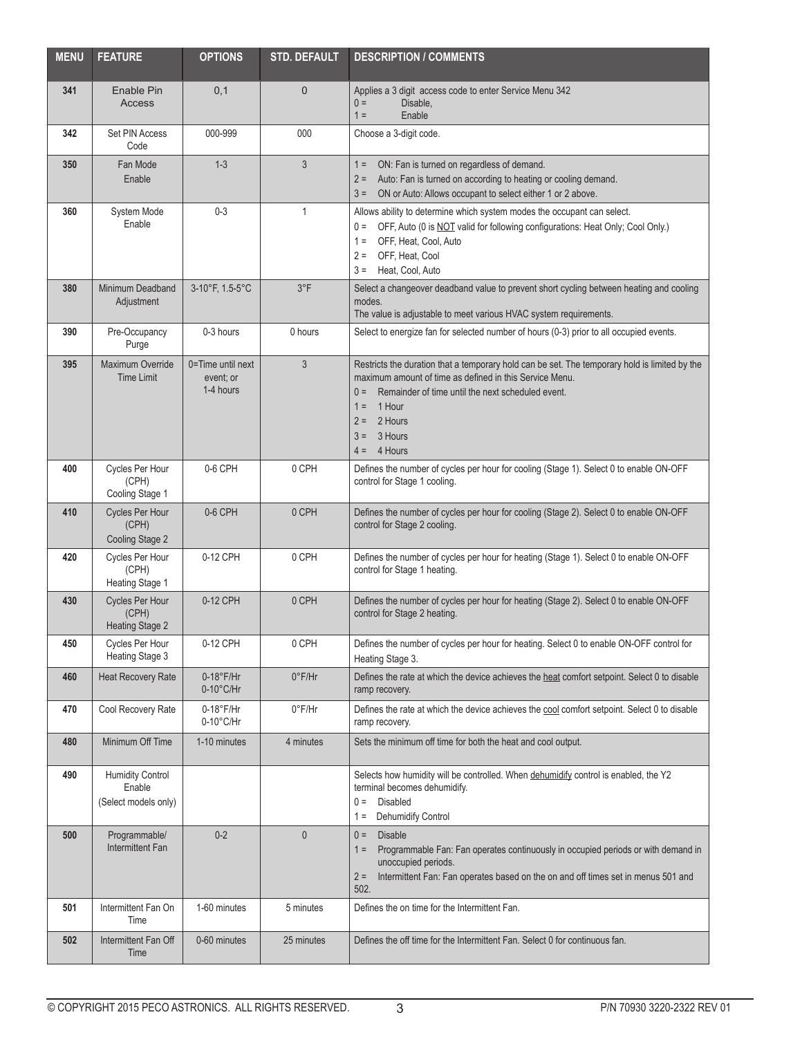| <b>MENU</b> | <b>FEATURE</b>                                            | <b>OPTIONS</b>                              | <b>STD. DEFAULT</b> | <b>DESCRIPTION / COMMENTS</b>                                                                                                                                                                                                                                                                      |
|-------------|-----------------------------------------------------------|---------------------------------------------|---------------------|----------------------------------------------------------------------------------------------------------------------------------------------------------------------------------------------------------------------------------------------------------------------------------------------------|
| 341         | Enable Pin<br><b>Access</b>                               | 0,1                                         | 0                   | Applies a 3 digit access code to enter Service Menu 342<br>Disable,<br>$0 =$<br>$1 =$<br>Enable                                                                                                                                                                                                    |
| 342         | Set PIN Access<br>Code                                    | 000-999                                     | 000                 | Choose a 3-digit code.                                                                                                                                                                                                                                                                             |
| 350         | Fan Mode<br>Enable                                        | $1 - 3$                                     | 3                   | ON: Fan is turned on regardless of demand.<br>$1 =$<br>Auto: Fan is turned on according to heating or cooling demand.<br>$2 =$<br>ON or Auto: Allows occupant to select either 1 or 2 above.<br>$3 =$                                                                                              |
| 360         | System Mode<br>Enable                                     | $0 - 3$                                     | 1                   | Allows ability to determine which system modes the occupant can select.<br>OFF, Auto (0 is NOT valid for following configurations: Heat Only; Cool Only.)<br>$0 =$<br>OFF, Heat, Cool, Auto<br>$1 =$<br>OFF, Heat, Cool<br>$2 =$<br>Heat, Cool, Auto<br>$3 =$                                      |
| 380         | Minimum Deadband<br>Adjustment                            | 3-10°F, 1.5-5°C                             | $3^{\circ}F$        | Select a changeover deadband value to prevent short cycling between heating and cooling<br>modes.<br>The value is adjustable to meet various HVAC system requirements.                                                                                                                             |
| 390         | Pre-Occupancy<br>Purge                                    | 0-3 hours                                   | 0 hours             | Select to energize fan for selected number of hours (0-3) prior to all occupied events.                                                                                                                                                                                                            |
| 395         | Maximum Override<br><b>Time Limit</b>                     | 0=Time until next<br>event; or<br>1-4 hours | 3                   | Restricts the duration that a temporary hold can be set. The temporary hold is limited by the<br>maximum amount of time as defined in this Service Menu.<br>Remainder of time until the next scheduled event.<br>$0 =$<br>1 Hour<br>$1 =$<br>2 Hours<br>$2 =$<br>3 Hours<br>$3 =$<br>$4 = 4$ Hours |
| 400         | Cycles Per Hour<br>(CPH)<br>Cooling Stage 1               | 0-6 CPH                                     | 0 CPH               | Defines the number of cycles per hour for cooling (Stage 1). Select 0 to enable ON-OFF<br>control for Stage 1 cooling.                                                                                                                                                                             |
| 410         | <b>Cycles Per Hour</b><br>(CPH)<br>Cooling Stage 2        | 0-6 CPH                                     | 0 CPH               | Defines the number of cycles per hour for cooling (Stage 2). Select 0 to enable ON-OFF<br>control for Stage 2 cooling.                                                                                                                                                                             |
| 420         | Cycles Per Hour<br>(CPH)<br>Heating Stage 1               | 0-12 CPH                                    | 0 CPH               | Defines the number of cycles per hour for heating (Stage 1). Select 0 to enable ON-OFF<br>control for Stage 1 heating.                                                                                                                                                                             |
| 430         | Cycles Per Hour<br>(CPH)<br><b>Heating Stage 2</b>        | 0-12 CPH                                    | 0 CPH               | Defines the number of cycles per hour for heating (Stage 2). Select 0 to enable ON-OFF<br>control for Stage 2 heating.                                                                                                                                                                             |
| 450         | Cycles Per Hour<br>Heating Stage 3                        | 0-12 CPH                                    | 0 CPH               | Defines the number of cycles per hour for heating. Select 0 to enable ON-OFF control for<br>Heating Stage 3.                                                                                                                                                                                       |
| 460         | Heat Recovery Rate                                        | $0-18$ °F/Hr<br>$0-10^{\circ}$ C/Hr         | $0^{\circ}$ F/Hr    | Defines the rate at which the device achieves the heat comfort setpoint. Select 0 to disable<br>ramp recovery.                                                                                                                                                                                     |
| 470         | Cool Recovery Rate                                        | $0-18$ °F/Hr<br>0-10°C/Hr                   | $0^{\circ}$ F/Hr    | Defines the rate at which the device achieves the cool comfort setpoint. Select 0 to disable<br>ramp recovery.                                                                                                                                                                                     |
| 480         | Minimum Off Time                                          | 1-10 minutes                                | 4 minutes           | Sets the minimum off time for both the heat and cool output.                                                                                                                                                                                                                                       |
| 490         | <b>Humidity Control</b><br>Enable<br>(Select models only) |                                             |                     | Selects how humidity will be controlled. When dehumidify control is enabled, the Y2<br>terminal becomes dehumidify.<br>Disabled<br>$0 =$<br>Dehumidify Control<br>$1 =$                                                                                                                            |
| 500         | Programmable/<br><b>Intermittent Fan</b>                  | $0-2$                                       | $\bf 0$             | $0 =$<br><b>Disable</b><br>Programmable Fan: Fan operates continuously in occupied periods or with demand in<br>$1 =$<br>unoccupied periods.<br>Intermittent Fan: Fan operates based on the on and off times set in menus 501 and<br>$2 =$<br>502.                                                 |
| 501         | Intermittent Fan On<br>Time                               | 1-60 minutes                                | 5 minutes           | Defines the on time for the Intermittent Fan.                                                                                                                                                                                                                                                      |
| 502         | Intermittent Fan Off<br>Time                              | 0-60 minutes                                | 25 minutes          | Defines the off time for the Intermittent Fan. Select 0 for continuous fan.                                                                                                                                                                                                                        |